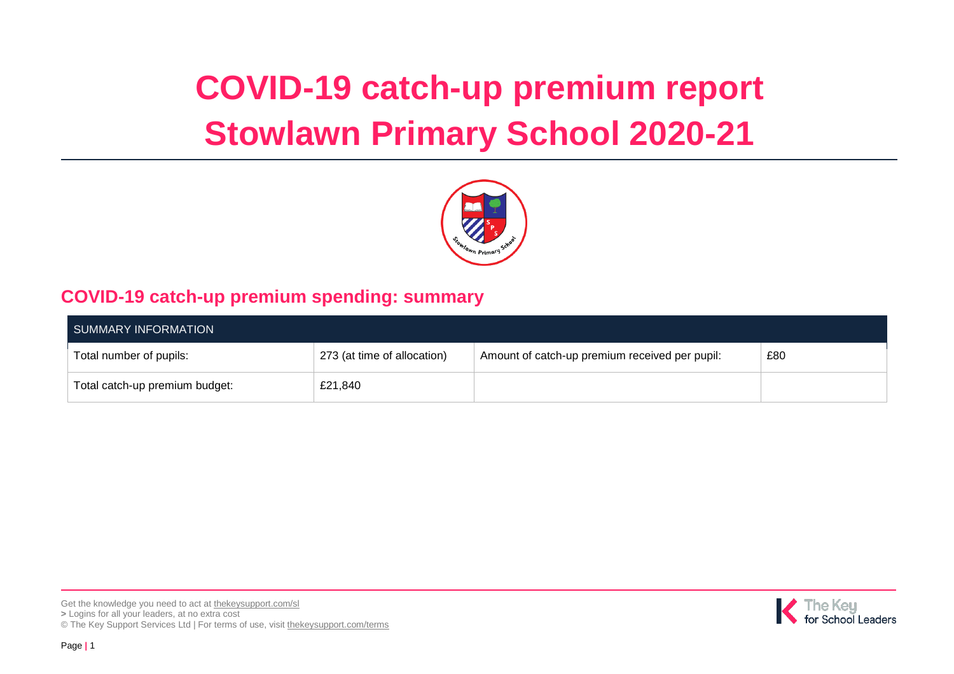# **COVID-19 catch-up premium report Stowlawn Primary School 2020-21**



## **COVID-19 catch-up premium spending: summary**

| SUMMARY INFORMATION            |                             |                                                |     |  |  |
|--------------------------------|-----------------------------|------------------------------------------------|-----|--|--|
| Total number of pupils:        | 273 (at time of allocation) | Amount of catch-up premium received per pupil: | £80 |  |  |
| Total catch-up premium budget: | £21,840                     |                                                |     |  |  |



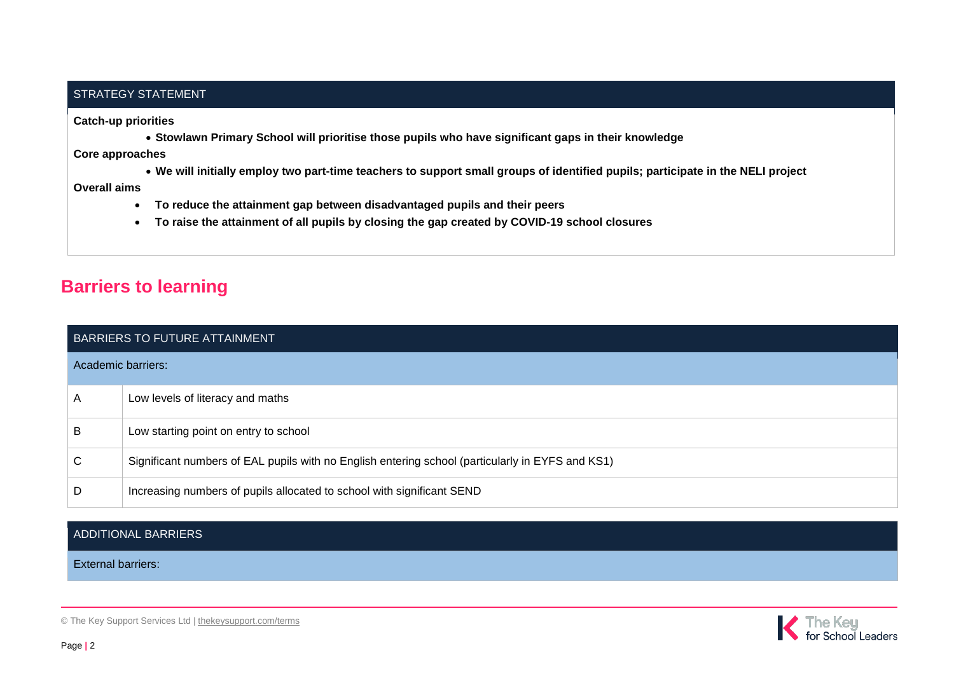#### STRATEGY STATEMENT

**Catch-up priorities**

**Stowlawn Primary School will prioritise those pupils who have significant gaps in their knowledge**

**Core approaches** 

**We will initially employ two part-time teachers to support small groups of identified pupils; participate in the NELI project**

**Overall aims** 

- **To reduce the attainment gap between disadvantaged pupils and their peers**
- **To raise the attainment of all pupils by closing the gap created by COVID-19 school closures**

## **Barriers to learning**

| BARRIERS TO FUTURE ATTAINMENT |                                                                                                  |  |  |  |
|-------------------------------|--------------------------------------------------------------------------------------------------|--|--|--|
|                               | Academic barriers:                                                                               |  |  |  |
| A                             | Low levels of literacy and maths                                                                 |  |  |  |
| B                             | Low starting point on entry to school                                                            |  |  |  |
| C                             | Significant numbers of EAL pupils with no English entering school (particularly in EYFS and KS1) |  |  |  |
| D                             | Increasing numbers of pupils allocated to school with significant SEND                           |  |  |  |

### ADDITIONAL BARRIERS

External barriers:

© The Key Support Services Ltd | [thekeysupport.com/terms](https://thekeysupport.com/terms-of-use)

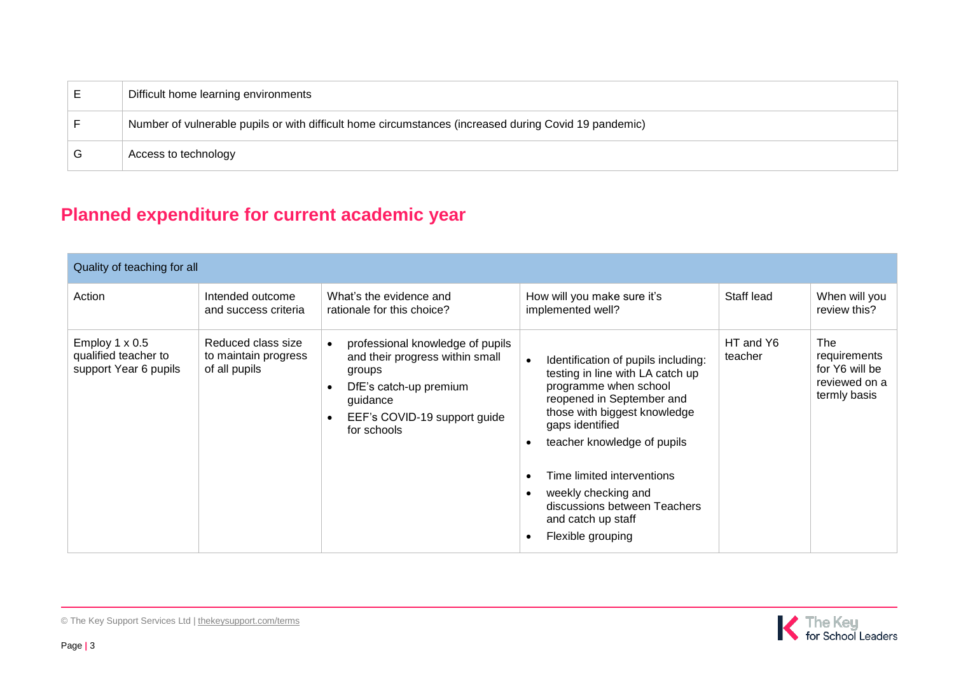| Difficult home learning environments                                                                  |
|-------------------------------------------------------------------------------------------------------|
| Number of vulnerable pupils or with difficult home circumstances (increased during Covid 19 pandemic) |
| Access to technology                                                                                  |

## **Planned expenditure for current academic year**

| Quality of teaching for all                                            |                                                             |                                                                                                                                                                                 |                                                                                                                                                                                                                                                                                                                                                                                                     |                      |                                                                               |  |  |
|------------------------------------------------------------------------|-------------------------------------------------------------|---------------------------------------------------------------------------------------------------------------------------------------------------------------------------------|-----------------------------------------------------------------------------------------------------------------------------------------------------------------------------------------------------------------------------------------------------------------------------------------------------------------------------------------------------------------------------------------------------|----------------------|-------------------------------------------------------------------------------|--|--|
| Action                                                                 | Intended outcome<br>and success criteria                    | What's the evidence and<br>rationale for this choice?                                                                                                                           | How will you make sure it's<br>implemented well?                                                                                                                                                                                                                                                                                                                                                    | Staff lead           | When will you<br>review this?                                                 |  |  |
| Employ $1 \times 0.5$<br>qualified teacher to<br>support Year 6 pupils | Reduced class size<br>to maintain progress<br>of all pupils | professional knowledge of pupils<br>and their progress within small<br>groups<br>DfE's catch-up premium<br>guidance<br>EEF's COVID-19 support guide<br>$\bullet$<br>for schools | Identification of pupils including:<br>testing in line with LA catch up<br>programme when school<br>reopened in September and<br>those with biggest knowledge<br>gaps identified<br>teacher knowledge of pupils<br>$\bullet$<br>Time limited interventions<br>$\bullet$<br>weekly checking and<br>$\bullet$<br>discussions between Teachers<br>and catch up staff<br>Flexible grouping<br>$\bullet$ | HT and Y6<br>teacher | <b>The</b><br>requirements<br>for Y6 will be<br>reviewed on a<br>termly basis |  |  |

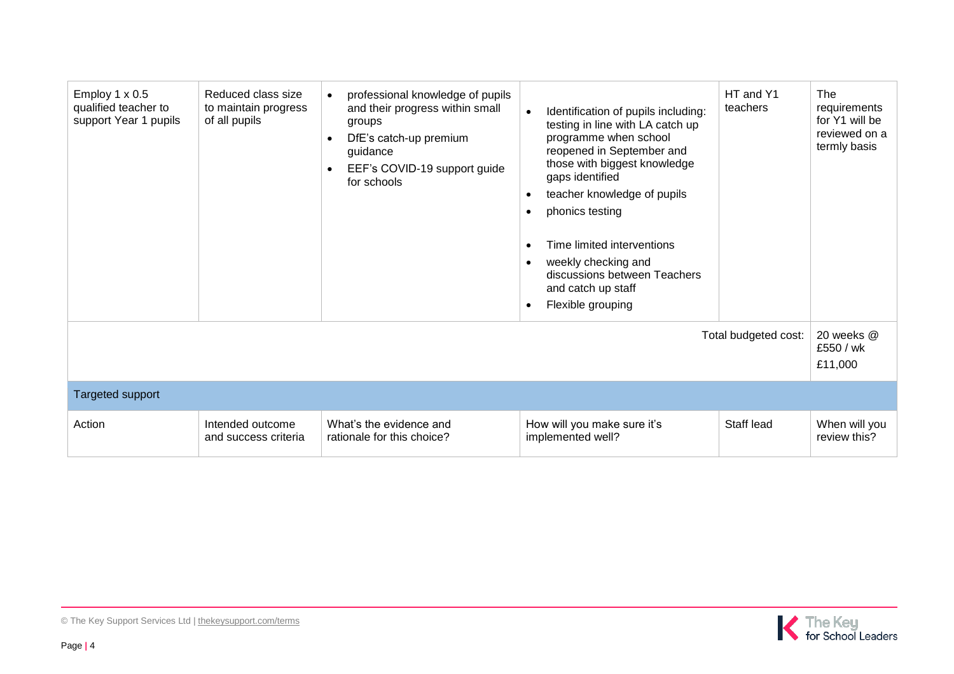| Employ $1 \times 0.5$<br>qualified teacher to<br>support Year 1 pupils | Reduced class size<br>to maintain progress<br>of all pupils | professional knowledge of pupils<br>and their progress within small<br>groups<br>DfE's catch-up premium<br>$\bullet$<br>guidance<br>EEF's COVID-19 support guide<br>$\bullet$<br>for schools | $\bullet$<br>$\bullet$<br>$\bullet$<br>$\bullet$<br>$\bullet$<br>$\bullet$ | Identification of pupils including:<br>testing in line with LA catch up<br>programme when school<br>reopened in September and<br>those with biggest knowledge<br>gaps identified<br>teacher knowledge of pupils<br>phonics testing<br>Time limited interventions<br>weekly checking and<br>discussions between Teachers<br>and catch up staff<br>Flexible grouping | HT and Y1<br>teachers<br>Total budgeted cost: | The<br>requirements<br>for Y1 will be<br>reviewed on a<br>termly basis<br>20 weeks @<br>£550 / wk<br>£11,000 |
|------------------------------------------------------------------------|-------------------------------------------------------------|----------------------------------------------------------------------------------------------------------------------------------------------------------------------------------------------|----------------------------------------------------------------------------|--------------------------------------------------------------------------------------------------------------------------------------------------------------------------------------------------------------------------------------------------------------------------------------------------------------------------------------------------------------------|-----------------------------------------------|--------------------------------------------------------------------------------------------------------------|
| <b>Targeted support</b>                                                |                                                             |                                                                                                                                                                                              |                                                                            |                                                                                                                                                                                                                                                                                                                                                                    |                                               |                                                                                                              |
| Action                                                                 | Intended outcome<br>and success criteria                    | What's the evidence and<br>rationale for this choice?                                                                                                                                        |                                                                            | How will you make sure it's<br>implemented well?                                                                                                                                                                                                                                                                                                                   | Staff lead                                    | When will you<br>review this?                                                                                |

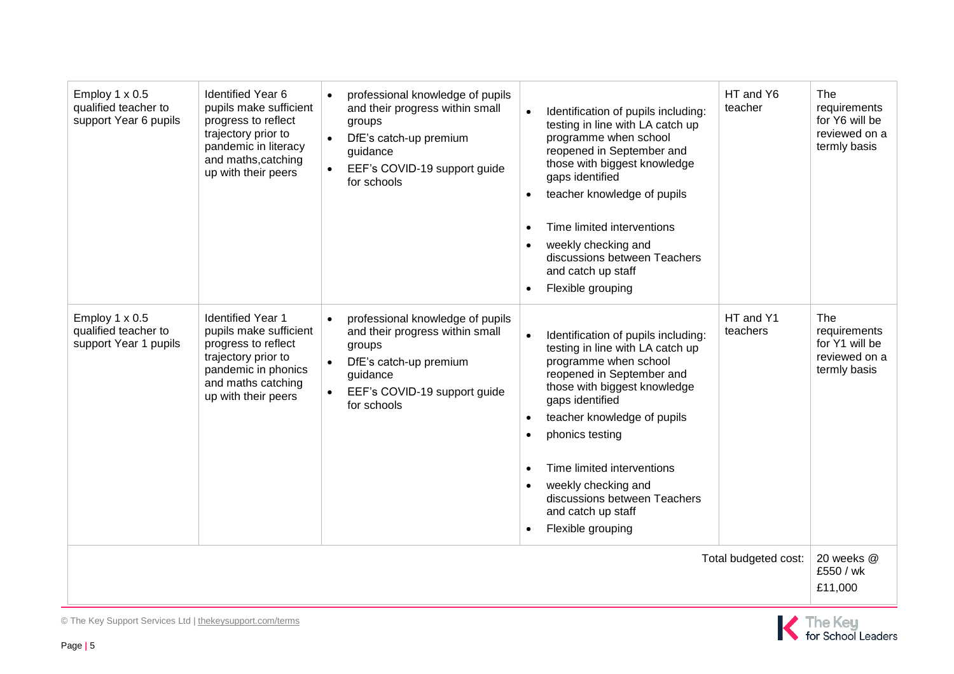| Employ $1 \times 0.5$<br>qualified teacher to<br>support Year 6 pupils | <b>Identified Year 6</b><br>pupils make sufficient<br>progress to reflect<br>trajectory prior to<br>pandemic in literacy<br>and maths, catching<br>up with their peers | professional knowledge of pupils<br>$\bullet$<br>and their progress within small<br>groups<br>DfE's catch-up premium<br>$\bullet$<br>guidance<br>EEF's COVID-19 support guide<br>$\bullet$<br>for schools | Identification of pupils including:<br>testing in line with LA catch up<br>programme when school<br>reopened in September and<br>those with biggest knowledge<br>gaps identified<br>teacher knowledge of pupils<br>Time limited interventions<br>weekly checking and<br>discussions between Teachers<br>and catch up staff<br>Flexible grouping                                              | HT and Y6<br>teacher  | The<br>requirements<br>for Y6 will be<br>reviewed on a<br>termly basis |
|------------------------------------------------------------------------|------------------------------------------------------------------------------------------------------------------------------------------------------------------------|-----------------------------------------------------------------------------------------------------------------------------------------------------------------------------------------------------------|----------------------------------------------------------------------------------------------------------------------------------------------------------------------------------------------------------------------------------------------------------------------------------------------------------------------------------------------------------------------------------------------|-----------------------|------------------------------------------------------------------------|
| Employ 1 x 0.5<br>qualified teacher to<br>support Year 1 pupils        | <b>Identified Year 1</b><br>pupils make sufficient<br>progress to reflect<br>trajectory prior to<br>pandemic in phonics<br>and maths catching<br>up with their peers   | professional knowledge of pupils<br>$\bullet$<br>and their progress within small<br>groups<br>DfE's catch-up premium<br>$\bullet$<br>guidance<br>EEF's COVID-19 support guide<br>$\bullet$<br>for schools | Identification of pupils including:<br>$\bullet$<br>testing in line with LA catch up<br>programme when school<br>reopened in September and<br>those with biggest knowledge<br>gaps identified<br>teacher knowledge of pupils<br>$\bullet$<br>phonics testing<br>Time limited interventions<br>weekly checking and<br>discussions between Teachers<br>and catch up staff<br>Flexible grouping | HT and Y1<br>teachers | The<br>requirements<br>for Y1 will be<br>reviewed on a<br>termly basis |
| Total budgeted cost:                                                   |                                                                                                                                                                        |                                                                                                                                                                                                           |                                                                                                                                                                                                                                                                                                                                                                                              |                       | 20 weeks @<br>£550 / wk<br>£11,000                                     |